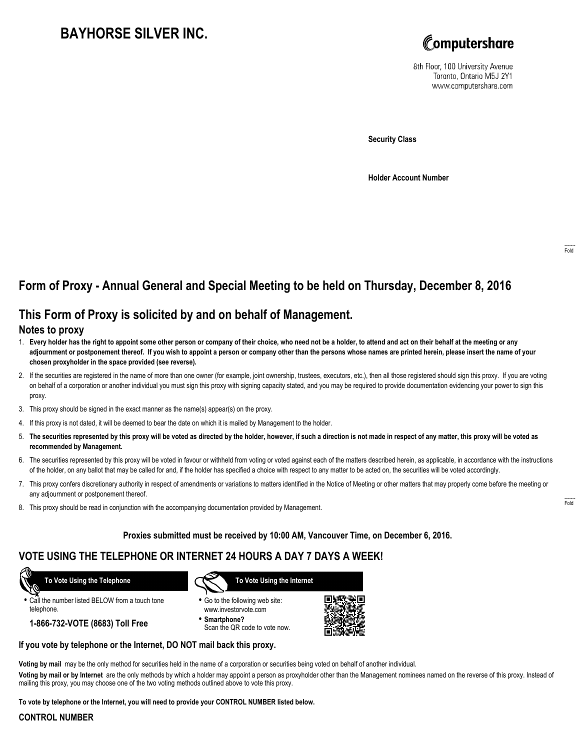# **BAYHORSE SILVER INC.**



8th Floor, 100 University Avenue Toronto, Ontario M5J 2Y1 www.computershare.com

**Security Class**

**Holder Account Number**

## **Form of Proxy - Annual General and Special Meeting to be held on Thursday, December 8, 2016**

## **This Form of Proxy is solicited by and on behalf of Management.**

#### **Notes to proxy**

- 1. **Every holder has the right to appoint some other person or company of their choice, who need not be a holder, to attend and act on their behalf at the meeting or any adjournment or postponement thereof. If you wish to appoint a person or company other than the persons whose names are printed herein, please insert the name of your chosen proxyholder in the space provided (see reverse).**
- 2. If the securities are registered in the name of more than one owner (for example, joint ownership, trustees, executors, etc.), then all those registered should sign this proxy. If you are voting on behalf of a corporation or another individual you must sign this proxy with signing capacity stated, and you may be required to provide documentation evidencing your power to sign this proxy.
- 3. This proxy should be signed in the exact manner as the name(s) appear(s) on the proxy.
- 4. If this proxy is not dated, it will be deemed to bear the date on which it is mailed by Management to the holder.
- 5. **The securities represented by this proxy will be voted as directed by the holder, however, if such a direction is not made in respect of any matter, this proxy will be voted as recommended by Management.**
- 6. The securities represented by this proxy will be voted in favour or withheld from voting or voted against each of the matters described herein, as applicable, in accordance with the instructions of the holder, on any ballot that may be called for and, if the holder has specified a choice with respect to any matter to be acted on, the securities will be voted accordingly.
- 7. This proxy confers discretionary authority in respect of amendments or variations to matters identified in the Notice of Meeting or other matters that may properly come before the meeting or any adjournment or postponement thereof.
- 8. This proxy should be read in conjunction with the accompanying documentation provided by Management.

#### **Proxies submitted must be received by 10:00 AM, Vancouver Time, on December 6, 2016.**

### **VOTE USING THE TELEPHONE OR INTERNET 24 HOURS A DAY 7 DAYS A WEEK!**

 **To Vote Using the Telephone**

**•** Call the number listed BELOW from a touch tone telephone.

**1-866-732-VOTE (8683) Toll Free**



- **•** Go to the following web site: www.investorvote.com
- **• Smartphone?** Scan the QR code to vote now.



#### **If you vote by telephone or the Internet, DO NOT mail back this proxy.**

**Voting by mail** may be the only method for securities held in the name of a corporation or securities being voted on behalf of another individual.

**Voting by mail or by Internet** are the only methods by which a holder may appoint a person as proxyholder other than the Management nominees named on the reverse of this proxy. Instead of mailing this proxy, you may choose one of the two voting methods outlined above to vote this proxy.

**To vote by telephone or the Internet, you will need to provide your CONTROL NUMBER listed below.**

### **CONTROL NUMBER**